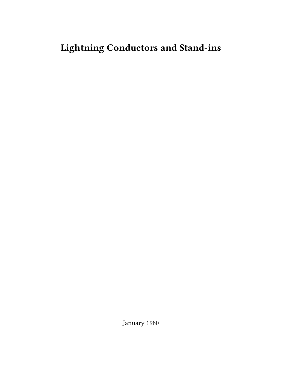# **Lightning Conductors and Stand-ins**

January 1980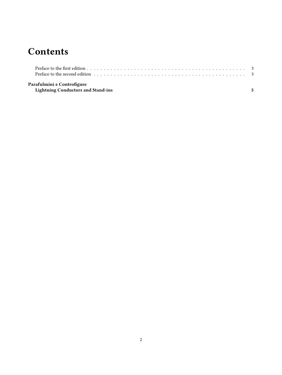## **Contents**

| Preface to the second edition responses in the second edition by contact the second edition by contact the second edition |  |
|---------------------------------------------------------------------------------------------------------------------------|--|
| Parafulmini e Controfigure                                                                                                |  |

**[Lightning Conductors and Stand-ins](#page-4-0) 5**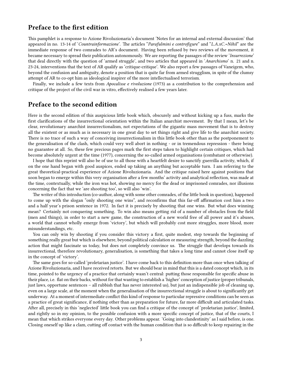### <span id="page-2-0"></span>**Preface to the first edition**

This pamphlet is a response to Azione Rivoluzionaria's document 'Notes for an internal and external discussion' that appeared in no. 13-14 of '*Countrainformazione*'. The articles "*Parafulmini e controfigure*" and "*L.A.xC.=Nihil*" are the immediate response of two comrades to AR's document. Having been refused by two reviews of the movement, it became necessary to spread their publication autonomously. We are reporting the passages of the review '*Insurrezione*' that deal directly with the question of 'armed struggle', and two articles that appeared in '*Anarchismo*' n. 21 and n. 23-24, interventions that the text of AR qualify as 'critique-critique'. We also report a few passages of Vaneigem, who, beyond the confusion and ambiguity, denote a position that is quite far from armed strugglism, in spite of the clumsy attempt of AR to co-opt him as ideological inspirer of the more intellectualised terrorism.

Finally, we include a few texts from *Apocalisse e rivoluzione* (1973) as a contribution to the comprehension and critique of the project of the civil war in vitro, effectively realised a few years later.

### <span id="page-2-1"></span>**Preface to the second edition**

Here is the second edition of this auspicious little book which, obscurely and without kicking up a fuss, marks the first clarifications of the insurrectional orientation within the Italian anarchist movement. By that I mean, let's be clear, revolutionary anarchist insurrectionalism, not expectations of the gigantic mass movement that is to destroy all the existent or as much as is necessary in one great day to set things right and give life to the anarchist society. There is no trace of such a way of conceiving insurrectionalism in this little book other than as the postponement to the generalisation of the clash, which could very well abort in nothing - or in tremendous repression - there being no guarantee at all. So, these few precious pages mark the first steps taken to highlight certain critiques, which had become absolutely urgent at the time (1977), concerning the so-called armed organisations (combatant or otherwise).

I hope that this reprint will also be of use to all those with a heartfelt desire to sanctify guerrilla activity, which, if on the one hand began with good auspices, ended up taking an anything but acceptable turn. I am referring to the great theoretical-practical experience of Azione Rivoluzionaria. And the critique raised here against positions that soon began to emerge within this very organisation after a few months' activity and analytical reflection, was made at the time, contextually, while the iron was hot, showing no mercy for the dead or imprisoned comrades, nor illusions concerning the fact that we 'are shooting too', so will also 'win'.

The writer of this introduction (co-author, along with some other comrades, of the little book in question), happened to come up with the slogan "only shooting one wins", and reconfirms that this far-off affirmation cost him a two and a half year's prison sentence in 1972. In fact it is precisely by shooting that one wins. But what does winning mean? Certainly not conquering something. To win also means getting rid of a number of obstacles from the field (men and things), in order to start a new game, the construction of a new world free of all power and it's abuses, a world that cannot wholly emerge from 'victory', but which will probably cost more struggles, more blood, more misunderstandings, etc.

You can only win by shooting if you consider this victory a first, quite modest, step towards the beginning of something really great but which is elsewhere, beyond political calculation or measuring strength, beyond the dazzling action that might fascinate us today, but does not completely convince us. The struggle that develops towards its insurrectional, therefore revolutionary, generalisation, is something that takes a long time and cannot close itself up in the concept of 'victory'.

The same goes for so-called 'proletarian justice'. I have come back to this definition more than once when talking of Azione Rivoluzionaria, and I have received retorts. But we should bear in mind that this is a dated concept which, in its time, pointed to the urgency of a practice that certainly wasn't central: putting those responsible for specific abuse in their place, i.e. flat on their backs, without for that wanting to establish a 'higher' conception of justice (proper tribunals, just laws, opportune sentences – all rubbish that has never interested us), but just an indispensible job of cleaning up, even on a large scale, at the moment when the generalisation of the insurrectional struggle is about to significantly get underway. At a moment of intermediate conflict this kind of response to particular repressive conditions can be seen as a practice of great significance, if nothing other than as preparation for future, far more difficult and articulated tasks. After all, precisely in this 'neglected' little book you can find a critique of the concept of 'proletarian justice', limited, and rightly so in my opinion, to the possible confusion with a more specific concept of justice, that of the courts, I mean that which strikes everyone every day. Other problems appear. 'Going into clandestinity' as I said before, is one. Closing oneself up like a clam, cutting off contact with the human condition that is so difficult to keep repairing in the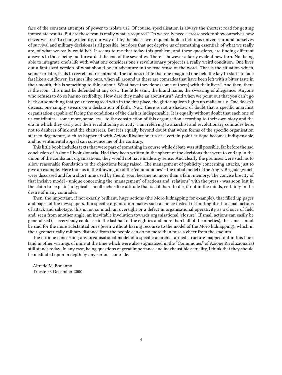face of the constant attempts of power to isolate us? Of course, specialisation is always the shortest road for getting immediate results. But are these results really what is required? Do we really need a crosscheck to show ourselves how clever we are? To change identity, our way of life, the places we frequent, build a fictitious universe around ourselves of survival and military decisions is all possible, but does that not deprive us of something essential: of what we really are, of what we really could be? It seems to me that today this problem, and these questions, are finding different answers to those being put forward at the end of the seventies. There is however a fairly evident new turn. Not being able to integrate one's life with what one considers one's revolutionary project is a really weird condition. One lives out a fantisized version of what should be an adventure in the true sense of the word. That is the situation which, sooner or later, leads to regret and resentment. The fullness of life that one imagined one held the key to starts to fade fast like a cut flower. In times like ours, when all around us there are comrades that have been left with a bitter taste in their mouth, this is something to think about. What have they done (some of them) with their lives? And then, there is the icon. This must be defended at any cost. The little saint, the brand name, the swearing of allegiance. Anyone who refuses to do so has no credibility. How dare they make an about-turn? And when we point out that you can't go back on something that you never agreed with in the first place, the glittering icon lights up maliciously. One doesn't discuss, one simply swears on a declaration of faith. Now, there is not a shadow of doubt that a specific anarchist organisation capable of facing the conditions of the clash is indispensable. It is equally without doubt that each one of us contributes - some more, some less - to the construction of this organisation according to their own story and the era in which they carry out their revolutionary activity. I am referring to anarchist and revolutionary comrades here, not to daubers of ink and the chatterers. But it is equally beyond doubt that when forms of the specific organisation start to degenerate, such as happened with Azione Rivoluzionaria at a certain point critique becomes indispensible, and no sentimental appeal can convince me of the contrary.

This little book includes texts that were part of something in course while debate was still possible, far before the sad conclusion of Azione Rivoluzionaria. Had they been written in the sphere of the decisions that were to end up in the union of the combatant organisations, they would not have made any sense. And clearly the premises were such as to allow reasonable foundation to the objections being raised. The management of publicity concerning attacks, just to give an example. Here too - as in the drawing up of the 'communiques' - the initial model of the Angry Brigade (which were discussed and for a short time used by them), soon became no more than a faint memory. The concise brevity of that incisive model - unique concerning the 'management' of actions and 'relations' with the press - was soon lost in the claim to 'explain', a typical schoolteacher-like attitude that is still hard to die, if not in the minds, certainly in the desire of many comrades.

Then, the important, if not exactly brilliant, huge actions (the Moro kidnapping for example), that filled up pages and pages of the newspapers. If a specific organisation makes such a choice instead of limiting itself to small actions of attack and sabotage, this is not so much an oversight or a defect in organisational operativity as a choice of field and, seen from another angle, an inevitable involution towards organisational 'closure'. If small actions can easily be generalised (as everybody could see in the last half of the eighties and more than half of the nineties), the same cannot be said for the more substantial ones (even without having recourse to the model of the Moro kidnapping), which in their geometrically military distance from the people can do no more than raise a cheer from the stadium.

The critique concerning any organisational model of a specific anarchist armed structure mapped out in this book (and in other writings of mine at the time which were also stigmatised in the "Comuniques" of Azione Rivoluzionaria) still stands today. In any case, being questions of great importance and inexhaustible actuality, I think that they should be meditated upon in depth by any serious comrade.

Alfredo M. Bonanno Trieste 23 December 2000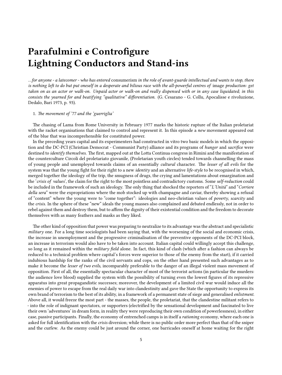## <span id="page-4-0"></span>**Parafulmini e Controfigure Lightning Conductors and Stand-ins**

*…for anyone - a latecomer - who has entered* consumerism *in the role of avant-guarde intellectual and wants to stop, there is nothing left to do but put oneself in a desperate and bilious race with the all-powerful centres of* image *production: get taken on as an actor or walk-on. Unpaid actor or walk-on and really dispensed with or in any case liquidated; in this consists the yearned for and beatifying "qualitative" differentiation.* (G. Cesarano - G. Collu, Apocalisse e rivoluzione, Dedalo, Bari 1973, p. 93).

### 1. *The movement of '77 and the 'guerriglia'*

The chasing of Lama from Rome University in February 1977 marks the historic rupture of the Italian proletariat with the racket organisations that claimed to control and represent it. In this episode a *new* movement appeared out of the blue that was incomprehensible for constituted power.

In the preceding years capital and its experimenters had constructed in vitro two basic models in which the opposition and the DC-PCI (Christian Democrat - Communist Party) alliance and its programs of *hunger* and *sacrifice* were destined to *identify themselves.* The first, mapped out at the Lotta Continua congress in Rimini and the manifestation of the counterculture Circoli del proletariato giovanile, (Proletarian youth circles) tended towards channelling the mass of young people and unemployed towards claims of an essentially *cultural* character. The *lesser of all evils* for the system was that the young fight for their right to a new *identity* and an alternative *life-style* to be recognised in which, merged together the ideology of the trip, the smugness of drugs, the crying and lamentations about emargination and the '*crisis of values*', the claim for the right to the most pointless and contradictory customs. Some *self-reduction* could be included in the framework of such an ideology. The only thing that shocked the reporters of "*L'Unità*" and "*Corriere della sera*" were the expropriations where the mob stocked up with champagne and caviar, thereby showing a refusal of "content" where the young were to "come together": ideologies and neo-christian values of *poverty*, *scarcity* and the *crisis*. In the sphere of these "new" ideals the young masses also complained and debated endlessly, not in order to rebel against them and destroy them, but to affirm the dignity of their existential condition and the freedom to decorate themselves with as many feathers and masks as they liked.

The other kind of opposition that power was preparing to neutralize to its advantage was the abstract and specialistic *military* one. For a long time sociologists had been saying that, with the worsening of the social and economic crisis, the increase in unemployment and the progressive criminalisation of the preventive opponents of the DC-PCI block, an increase in terrorism would also have to be taken into account. Italian capital could willingly accept this challenge, so long as it remained within the *military field* alone. In fact, this kind of clash (which after a fashion can always be reduced to a technical problem where capital's forces were superior to those of the enemy from the start), if it carried indubious hardship for the ranks of the civil servants and cops, on the other hand presented such advantages as to make it become the *lesser of two evils*, incomparably preferable to the danger of an illegal violent mass movement of opposition. First of all, the essentially spectacular character of most of the terrorist actions (in particular the murders: the audience love blood) supplied the system with the possibility of turning even the lowest figures of its repressive apparatus into great propagandistic successes; moreover, the development of a limited civil war would induce all the enemies of power to escape from the real daily war into clandestinity and gave the State the opportunity to express its own brand of terrorism to the best of its ability, in a framework of a permanent state of siege and generalised *enlistment*. Above all, it would freeze the most part - the masses, the people, the proletariat, that the clandestine militant refers to - into the role of indignant spectators, or supporters (electrified by the sensational development and fascinated to live their own 'adventures' in dream form, in reality they were reproducing their own condition of powerlessness), in either case, passive participants. Finally, the economy of entrenched camps is in itself a *rationing* economy, where each one is asked for full identification with the *crisis* diversion; while there is no public order more perfect than that of the sniper and the curfew. As the enemy could be just around the corner, one barricades oneself at home waiting for the right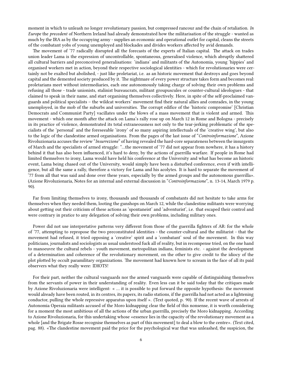moment in which to unleash no longer revolutionary passion, but compressed rancour and the chain of retaliation. *In Europe* the *precedent* of Northern Ireland had already demonstrated how the militarisation of the struggle - wanted as much by the IRA as by the occupying army - supplies an economic and operational outlet for capital, cleans the streets of the combatant yobs of young unemployed and blockades and divides workers affected by avid demands.

The movement of '77 radically disrupted all the forecasts of the experts of Italian capital. The attack on trades union leader Lama is the expression of uncontrollable, spontaneous, generalised violence, which abruptly shattered all cultural barriers and preconceived generalisations: 'indians' and militants of the Autonomia, young 'hippies' and organised workers met in action, beyond their respective sociological identities - which for revolutionaries were certainly not be exalted but abolished, - just like proletariat, i.e. as an historic movement that destroys and goes beyond capital and the demented society produced by it. The nightmare of every power structure takes form and becomes real: proletarians meet without intermediaries, each one autonomously taking charge of solving their own problems and refusing all those - trade unionists, stalinist bureaucrats, militant groupuscules or counter-cultural ideologues - that claimed to speak in their name, and start organising themselves collectively. Here, in spite of the self-proclaimed vanguards and political specialists – the wildcat workers' movement find their natural allies and comrades, in the young unemployed, in the mob of the suburbs and universities. The corrupt edifice of the 'historic compromise' [Christian Democrats and Communist Party] vacillates under the blows of a mass movement that is violent and armed. This movement - which one month after the attack on Lama's rally rose up on March 12 in Rome and Bologna - precisely in its practice of violence, demonstrated its total extraneousness not only to the tear-jerking problematic of the specialists of the 'personal' and the foreseeable 'irony' of so many aspiring intellectuals of the 'creative wing', but also to the logic of the clandestine armed organisations. From the pages of the last issue of "*Controinformazione*", Azione Rivoluzionaria accuses the review "*Insurrezione*" of having revealed the hard-core separateness between the insurgents of March and the specialists of armed struggle: "…the movement of '77 did not appear from nowhere, it has a history behind it that has also been influenced, it's hard to deny, by the actions of guerrilla warfare. If people in Rome had limited themselves to irony, Lama would have held his conference at the University and what has become an historic event, Lama being chased out of the University, would simply have been a disturbed conference, even if with intelligence, but all the same a rally, therefore a victory for Lama and his acolytes. It is hard to separate the movement of '77 from all that was said and done over these years, especially by the armed groups and the autonomous guerrilla». (Azione Rivoluzionaria, Notes for an internal and external discussion in "*Controinformazione*", n. 13-14, March 1979 p. 90).

Far from limiting themselves to irony, thousands and thousands of combatants did not hesitate to take arms for themselves when they needed them, looting the gunshops on March 12, while the clandestine militants were worrying about getting out their criticism of these actions as 'spontaneist' and 'adventurist', i.e. that escaped their control and were contrary in pratice to any delegation of solving their own problems, including military ones.

Power did not use interpretative patterns very different from those of the guerrilla fighters of AR: for the whole of '77, attempting to repropose the two preconstituted identities - the counter-cultural and the militarist - that the movement had refused, it tried opposing a 'creative' spirit and a 'combatant' soul of the movement. In this way politicians, journalists and sociologists as usual understood fuck all of reality, but in recompense tried, on the one hand to manoeuvre the cultural rebels - youth movement, metropolitan indians, feminists etc. - against the development of a determination and coherence of the revolutionary movement, on the other to give credit to the idiocy of the plot plotted by occult paramilitary organizations. The movement had known how to scream in the face of all its paid observers what they really were: IDIOTS!

For their part, neither the cultural vanguards nor the armed vanguards were capable of distinguishing themselves from the servants of power in their understanding of reality. Even less can it be said today that the critiques made by Azione Rivoluzionaria were intelligent: « … it is possible to put forward the opposite hypothesis: the movement would already have been routed, in its centres, its papers, its radio stations, if the guerrilla had not acted as a lightening conductor, pulling the whole repressive apparatus upon itself ». (Text quoted, p. 90). If the recent wave of arrests of Autonomia Operaia militants accused of the Moro kidnapping clear the field of this nonsense, it is worth considering for a moment the most ambitious of all the actions of the urban guerrilla, precisely the Moro kidnapping. According to Azione Rivoluzionaria, for this undertaking whose «essence lies in the capacity of the revolutionary movement as a whole [and the Brigate Rosse recognise themselves as part of this movement] to deal a blow to the centre». (Text cited, pag. 88). «The clandestine movement paid the price for the psychological war that was unleashed, the suspicion, the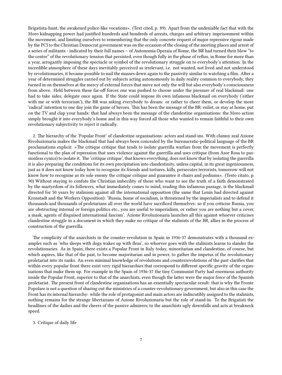Brigatista-hunt, the awakened police-like vocations». (Text cited, p. 89). Apart from the undeniable fact that with the Moro kidnapping power had justified hundreds and hundreds of arrests, charges and arbitrary imprisonment within the movement, and limiting ourselves to remembering that the only concrete request of major repressive rigour made by the PCI to the Christian Democrat government was on the occasion of the closing of the meeting places and arrest of a series of militants - indicated by their full names – of Autonomia Operaia of Rome, the BR had turned their blow "to the centre" of the revolutionary tension that persisted, even though fully in the phase of reflux, in Rome for more than a year, arrogantly imposing the spectacle or symbol of the revolutionary struggle on to everybody's attention. In the incredible atmosphere of these days inevitably perceived as irrelevant, i.e. not wanted, not lived and not understood by revolutionaries, it became possible to nail the masses down again to the passivity similar to watching a film. After a year of determined struggles carried out by subjects acting autonomously in daily reality common to everybody, they turned in on themselves at the mercy of external forces that move not only the will but also everybody's consciousness from above. Held between these far-off forces one was pushed to choose under the pressure of real blackmail: one had to take sides, delegate once again. If the State could impose its own infamous blackmail on everybody ('either with me or with terrorism'), the BR was asking everybody to dream: or rather to cheer them, or develop the more 'radical' intention to one day join the game of heroes. This has been the message of the BR: enlist, or stay at home, put on the TV and clap your hands: that had always been the message of the clandestine organisations: the Moro action simply brought it into everybody's home and in this way forced all those who wanted to remain faithful to their own revolutionary subjectivity to reject it radically.

2. The hierarchy of the 'Popular Front' of clandestine organisations: actors and stand-ins. With clumsy zeal Azione Rivoluzionaria makes the blackmail that had always been concealed by the bureaucratic-political language of the BR proclamations explicit: «The critique critique that tends to isolate guerrilla warfare from the movement is perfectly functional to the plan of repression that uses violence against the guerrilla and uses critique (from Asor Rosa to passionless cynics) to isolate it. The 'critique critique', that knows everything, does not know that by isolating the guerrilla it is also preparing the conditions for its own precipitation into clandestinity, unless capital, in its great ingeniousness, just as it does not know today how to recognise its friends and tortures, kills, persecutes terrorists, tomorrow will not know how to recognise as its sole enemy the critique critique and guarantee it chairs and podiums». (Testo citato, p. 90) Without staying to confute the Christian imbecility of those who want to see the truth of a faith demonstrated by the martyrdom of its followers, what immediately comes to mind, reading this infamous passage, is the blackmail directed for 50 years by stalinism against all the international opposition (the same that Lenin had directed against Kronstadt and the Workers Opposition): 'Russia, home of socialism, is threatened by the imperialists and to defend it thousands and thousands of proletarians all over the world have sacrificed themselves: so if you criticise Russia, you are obstructing internal or foreign politics etc., you are useful to imperialism, or rather you are nothing but a cover, a mask, agents of disguised international fascism'. Azione Rivoluzionaria launches all this against whoever criticises clandestine struggle in a document in which they make no critique of the stalinists of the BR, allies in the process of construction of the guerrilla.

The complicity of the anarchists in the counter-revolution in Spain in 1936-37 demonstrates with a thousand examples such as 'who sleeps with dogs wakes up with fleas', so whoever goes with the stalinists learns to slander the revolutionaries. As in Spain, there exists a Popular Front in Italy today, minoritarian and clandestine, of course, but which aspires, like that of the past, to become majoritarian and in power, to gather the impetus of the revolutionary proletariat into its ranks. An even minimal knowledge of revolutions and counterrevolutions of the past clarifies that within every popular front there exist very rigid hierarchies that correspond to different specific gravity of the organisations that make them up. For example in the Spain of 1936-37 the tiny Communist Party had enormous authority inside the Popular Front, superior to that of the anarchists, even though the latter were the major force of the Spanish proletariat. The present front of clandestine organisations has an essentially spectacular result: that is why the Fronte Popolare is not a question of sharing out the ministries of a counter-revolutionary government, but also in this case the Front has its internal hierarchy: while the role of protagonist and main actors are indiscutibly assigned to the stalinists, nothing remains for the strange libertarians of Azione Rivoluzionaria but the role of stand-in. To the Brigatisti the headlines of the dailies and the cheers of the passive admirers; to the anarchists ugly downfalls and acts at breakneck speed.

3. Critique of daily life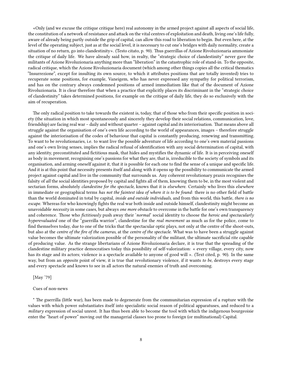«Only (and we excuse the critique critique here) real autonomy in the armed project against all aspects of social life, the constitution of a network of resistance and attack on the vital centres of exploitation and death, living one's life fully, aware of already being partly outside the grip of capital, can allow this road to liberation to begin. But even here, at the level of the operating subject, just as at the social level, it is necessary to cut one's bridges with daily normality, create a situation of no return, go into clandestinity». (Testo citato, p. 90). Thus guerrillas of Azione Rivoluzionaria ammoniate the critique of daily life. We have already said how, in realty, the "strategic choice of clandestinity" never gave the militants of Azione Rivoluzionaria anything more than "liberation" in the catastrophic role of stand-in. To the opposite, radical critique, which the Azione Rivoluzionaria document (which among other things copies all the critical thematics "Insurrezione", except for insulting its own source, to which it attributes positions that are totally invented) tries to recuperate some positions, for example, Vaneigem, who has never expressed any sympathy for political terrorism, and has on the contrary always condemned positions of armed immediatism like that of the document of Azione Rivoluzionaria. It is clear therefore that when a practice that explicitly places its discriminant in the "strategic choice of clandestinity" takes determined positions, for example on the critique of daily life, they do so exclusively with the aim of recuperation.

The only radical position to take towards the existent is, today, that of those who from their specific position in society (the situation in which most spontaneously and sincerely they develop their social relations, communication, love, friendship) are facing real war – daily and without quarter – against capital and its interiorisation. That means above all struggle against the organisation of one's own life according to the world of appearances, images – therefore struggle against the interiorisation of the codes of behaviour that capital is constantly producing, renewing and transmitting. To want to be revolutionaries, i.e. to want live the possible adventure of life according to one's own material passions and one's own living senses, implies the radical refusal of identification with any social determination of capital, with any identity, preconstituted and fictitious mask, that hides and mystifies the dynamic of life. It is in perceiving oneself as body in movement, recognising one's passions for what they are, that is, irreducible to the society of symbols and its organisation, and arming oneself against it, that it is possible for each one to find the sense of a unique and specific life. And it is at this point that necessity presents itself and along with it opens up the possibility to communicate the armed project against capital and live in the community that surrounds us. Any coherent revolutionary praxis recognises the falsity of *all* the social identities proposed by capital and fights all of them, knowing them to be, in the most violent and sectarian forms, absolutely *clandestine for the spectacle*, knows that it is *elsewhere*. Certainly who lives this *elsewhere* in immediate or geographical terms *has not the faintest idea of where it is to be found*: there is no other field of battle than the world dominated in total by capital, *inside and outside individuals*, and from this world, this battle, *there is no escape*. Whereas for who knowingly fights the real war both inside and outside himself, clandestinity might become an unavoidable *necessity* in some cases, but always *one more obstacle* to overcome in the battle for one's own transparency and coherence. Those who *fictitiously* push away their '*normal*' social identity to choose the *heroic and spectacularly hyperevaluated* one of the "guerrilla warrior", clandestine for the *real movement* as much as for the police, come to find themselves today, due to one of the tricks that the spectacular optic plays, not only at the centre of the shoot-outs, but also at the *centre of the fire of the cameras*, at the *centre of the spectacle*. What was to have been a struggle against value becomes the ultimate valorization possible of the personality of the militant, the ultimate sacrificial rite capable of producing value. As the strange libertarians of Azione Rivoluzionaria declare, it is true that the spreading of the clandestine military practice democratises today this possibility of self-valorization: « every village, every city, now has its stage and its actors; violence is a spectacle available to anyone of good will ». (Text cited, p. 90). In the same way, but from an *opposite* point of view, it is true that revolutionary violence, if it wants *to be*, destroys every stage and every spectacle and knows to see in all actors the natural enemies of truth and overcoming.

[May '79]

#### Cues of non-news

\* The guerrilla (little war), has been made to degenerate from the communitarian expression of a rupture with the values with which power substantiates itself into specialistic social reason of political apparatuses, and reduced to a *military* expression of social unrest. It has thus been able to become the tool with which the indigenous bourgeoisie enter the "heart of power" moving out the managerial classes too prone to foreign (or multinational) Capital.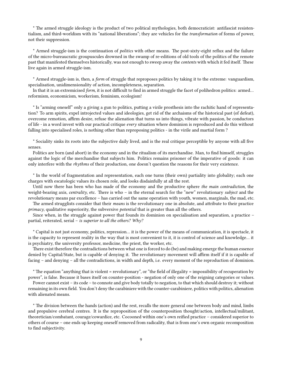\* The armed struggle ideology is the product of two political mythologies, both democraticist: antifascist resistentialism, and third-worldism with its "national liberations"; they are vehicles for the *transformation* of forms of power, not their suppression.

\* Armed struggle-ism is the continuation of *politics* with other means. The post-sixty-eight reflux and the failure of the micro-bureaucratic groupuscules drowned in the swamp of re-editions of old tools of the politics of the remote past that manifested themselves historically, was not enough to sweep away the *contents* with which it fed itself. These live again in armed struggle-ism.

\* Armed struggle-ism is, then, a *form* of struggle that reproposes politics by taking it to the extreme: vanguardism, specialisation, unidimensionality of action, incompleteness, separation.

In that it is an extremicised *form*, it is not difficult to find in armed struggle the facet of polihedron politics: armed… reformism, economicism, workerism, feminism, ecologism!

\* Is "arming oneself" only a giving a gun to politics, putting a virile prosthesis into the rachitic hand of representation? To arm spirits, expel introjected values and ideologies, get rid of the archaisms of the historical past (of defeat), overcome remotion, affirm desire, refuse the alienation that turns us into things, vibrate with passion, be conductors of life - in a word invest with our practical critique *every* situation where dominion is reproduced and do this without falling into specialised roles, is nothing other than reproposing politics - in the virile and martial form ?

\* Sociality sinks its roots into the subjective daily lived, and is the real critique perceptible by anyone with all five senses.

Politics are born (and abort) in the economy and in the ritualism of its merchandise. Man, to find himself, struggles against the logic of the merchandise that subjects him. Politics remains prisoner of the imperative of goods: it can only interfere with the *rhythms* of their production, one doesn't question the reasons for their very existence.

\* In the world of fragmentation and representation, each one turns (their own) partiality into globality; each one charges with escatologic values its chosen role, and looks disdainfully at all the rest.

Until now there has been who has made of the economy and the productive sphere *the main contradiction*, the weight-bearing axis, *centrality*, etc. There is who – in the eternal search for the "new" revolutionary *subject* and the revolutionary means par excellence – has carried out the same operation with youth, women, marginals, the mad, etc. The armed strugglists consider that their *means* is the revolutionary one in absolute, and attribute to their practice

*primacy*, qualitative superiority, the subversive *potential* that is greater than all the others.

Since when, in the struggle against power that founds its dominion on specialisation and separation, a practice – partial, reiterated, serial – *is superior to all the others? Why?*

\* Capital is not just economy, politics, repression… it is the power of the means of communication, it is spectacle, it is the capacity to represent reality in the way that is most convenient to it, it is control of science and knowledge… it is psychiatry, the university professor, medicine, the priest, the worker, etc.

There exist therefore the contradictions between what one is forced to do (be) and making emerge the human essence denied by Capital/State, but is capable of denying it. The revolutionary movement will affirm itself if it is capable of facing – and denying – all the contradictions, in width and depth, i.e. every moment of the reproduction of dominion.

\* The equation "anything that is violent = revolutionary", or "the field of illegality = impossibility of recuperation by power", is false. Because it bases itself on counter-position - negation of only one of the reigning categories or values.

Power cannot exist – its code – to connote and give body totally to negation, to that which should destroy it; without remaining in its own field. You don't deny the carabiniere with the counter-carabiniere, politics with politics, alienation with alienated means.

\* The division between the hands (action) and the rest, recalls the more general one between body and mind, limbs and propulsive cerebral centres. It is the reproposition of the counterposition thought/action, intellectual/militant, theoretician/combatant, courage/cowardice, etc. Cocooned within one's own reified practice – considered superior to others of course – one ends up keeping oneself removed from radicality, that is from one's own organic recomposition to find subjectivity.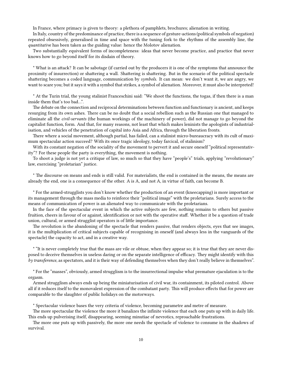In France, where primacy is given to theory: a plethora of pamphlets, brochures; alienation in writing.

In Italy, country of the predominance of practice, there is a sequence of gesture-actions (political symbols of negation) repeated obsessively, generalised in time and space with the tuning fork to the rhythms of the assembly line, the *quantitative* has been taken as the guiding value: hence the Molotov alienation.

Two substantially equivalent forms of incompleteness: ideas that never become practice, and practice that never knows how to go beyond itself for its disdain of theory.

\* What is an attack? It can be sabotage (if carried out by the producers it is one of the symptoms that announce the proximity of insurrection) or shattering a wall. Shattering is shattering. But in the scenario of the political spectacle shattering becomes a coded language, communication by *symbols*. It can mean: we don't want it, we are angry, we want to scare you; but it says it with a symbol that strikes, a symbol of alienation. Moreover, it must also be interpreted!

\* At the Turin trial, the young stalinist Franceschini said: "We shoot the functions, the togas, if then there is a man inside them that's too bad…".

The debate on the connection and reciprocal determinations between function and functionary is ancient, and keeps resurging from its own ashes. There can be no doubt that a social rebellion such as the Russian one that managed to eliminate all the *civil-servants* (the human workings of the machinery of power), did not manage to go beyond the capitalist function, form. And that, for many reasons, not least that which makes leninists the apologists of industrialisation, and vehicles of the penetration of capital into Asia and Africa, through the liberation fronts.

There where a social movement, although partial, has failed, can a stalinist micro-bureaucracy with its cult of maximum spectacular action succeed? With its once tragic ideology, today farcical, of stalinism?

With its constant negation of the sociality of the movement to pervert it and secure oneself "political representativity"? For these people the party is everything, the movement is nothing.

To shoot a judge is not yet a critique of law, so much so that they have "people's" trials, applying "revolutionary" law, exercising "proletarian" justice.

\* The discourse on means and ends is still valid. For materialists, the end is contained in the means, the means are already the end, one is a consequence of the other. A is A, and not A, in virtue of faith, can become B.

\* For the armed-strugglists you don't know whether the production of an event (kneecapping) is more important or its management through the mass media to reinforce their "political image" with the proletarians. Surely access to the means of communication of power is an alienated way to communicate with the proletarians.

In the face of the spectacular event in which the active subjects are few, nothing remains to others but passive fruition, cheers in favour of or against, identification or not with the operative staff. Whether it be a question of trade union, cultural, or armed strugglist operators is of little importance.

The revolution is the abandoning of the spectacle that renders passive, that renders objects, eyes that see images, it is the multiplication of critical subjects capable of recognising in oneself (and always less in the vanguards of the spectacle) the capacity to act, and in a creative way.

\* "It is never completely true that the mass are vile or obtuse, when they appear so; it is true that they are never disposed to deceive themselves in useless daring or on the separate intelligence of efficacy. They might identify with this *by transference*, as spectators, and it is their way of defending themselves when they don't really believe in themselves".

\* For the "masses", obviously, armed strugglism is to the insurrectional impulse what premature ejaculation is to the orgasm.

Armed strugglism always ends up being the miniaturisation of civil war, its containment, its piloted control. Above all if it reduces itself to the monovalent expression of the combatant party. This will produce effects that for power are comparable to the slaughter of public holidays on the motorways.

\* Spectacular violence bases the very criteria of violence, becoming parametre and metre of measure.

The more spectacular the violence the more it banalizes the infinite violence that each one puts up with in daily life. This ends up pulverising itself, disappearing, seeming minutiae of nevrotics, reproachable frustrations.

The more one puts up with passively, the more one needs the spectacle of violence to consume in the shadows of survival.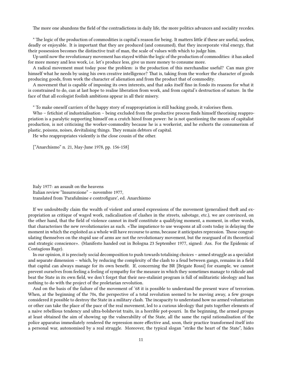The more one abandons the field of the contradictions in daily life, the more politics advances and sociality recedes.

\* The logic of the production of commodities is capital's reason for being. It matters little if these are useful, useless, deadly or enjoyable. It is important that they are produced (and consumed), that they incorporate vital energy, that their possession becomes the distinctive trait of man, the scale of values with which to judge him.

Up until now the revolutionary movement has stayed within the logic of the production of commodities: it has asked for more money and less work, i.e. let's produce less, give us more money to consume more.

A radical movement must today pose the problem: is the production of this merchandise useful? Can man give himself what he needs by using his own creative intelligence? That is, taking from the worker the character of goods producing goods, from work the character of alienation and from the product that of commodity.

A movement that is capable of imposing its own interests, and that asks itself fino in fondo its reasons for what it is constrained to do, can at last hope to realise liberation from work, and from capital's destruction of nature. In the face of that all ecologist foolish ambitions appear in all their misery.

\* To make oneself carriers of the happy story of reappropriation is still backing goods, it valorises them.

Who – fetichist of industrialisation – being excluded from the productive process finds himself theorising reappropriation is a paralytic supporting himself on a crutch hired from power: he is not questioning the means of capitalist production, is not criticising the worker-commodity because he is a workerist, and he exhorts the consumerism of plastic, poisons, noises, devitalising things. They remain debtors of capital.

He who reappropriates violently is the close cousin of the other.

["Anarchismo" n. 21, May-June 1978, pp. 156-158]

Italy 1977: an assault on the heavens Italian review "Insurrezione" – novembre 1977, translated from 'Parafulmine e controfigure', ed. Anarchismo

If we undoubtedly claim the wealth of violent and armed expressions of the movement (generalised theft and expropriation as critique of waged work, radicalisation of clashes in the streets, sabotage, etc.), we are convinced, on the other hand, that the field of violence cannot in itself constitute a qualifying moment, a moment, in other words, that characterises the new revolutionaries as such. «The impatience to use weapons at all costs today is delaying the moment in which the exploited as a whole will have recourse to arms, because it anticipates repression. Those congratulating themselves on the stupid use of arms are not the revolutionary movement, but the rearguard of its theoretical and strategic conscience». (Manifesto handed out in Bologna 23 September 1977, signed: Ass. For the Epidemic of Contagious Rage).

In our opinion, it is precisely social decomposition to push towards totalising choices – armed struggle as a specialist and separate dimension – which, by reducing the complexity of the clash to a feud between gangs, remains in a field that capital can always manage for its own benefit. If, concerning the BR [Brigate Rossi] for example, we cannot prevent ourselves from feeling a feeling of sympathy for the measure in which they sometimes manage to ridicule and beat the State in its own field, we don't forget that their neo-stalinist program is full of militaristic ideology and has nothing to do with the project of the proletarian revolution.

And on the basis of the failure of the movement of '68 it is possible to understand the present wave of terrorism. When, at the beginning of the 70s, the perspective of a total revolution seemed to be moving away, a few groups considered it possible to destroy the State in a military clash. The incapacity to understand how no armed voluntarism or other can take the place of the pace of the real movement, led to a curious ideology that puts together elements of a naive rebellious tendency and ultra-bolshevist traits, in a horrible pot-pourri. In the beginning, the armed groups at least obtained the aim of showing up the vulnerability of the State, all the same the rapid rationalisation of the police apparatus immediately rendered the repression more effective and, soon, their practice transformed itself into a personal war, autonomised by a real struggle. Moreover, the typical slogan "strike the heart of the State", hides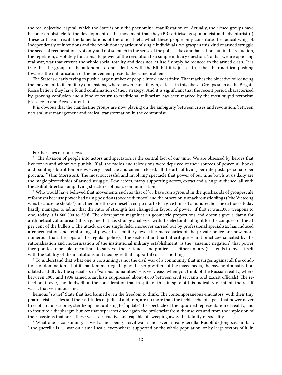the real objective, capital, which the State is only the phenominal manifestation of. Actually, the armed groups have become an obstacle to the development of the movement that they (BR) criticise as spontaneist and adventurist (!). These criticisms recall the lamentations of the official left, which these people only constitute the radical wing of. Independently of intentions and the revolutionary ardour of single individuals, we grasp in this kind of armed struggle the seeds of recuperation. Not only and not so much in the sense of the police-like cannibalisation, but in the reduction, the repetition, absolutely functional to power, of the revolution to a simple military question. To that we are opposing real war, war that crosses the whole social totality and does not let itself simply be reduced to the armed clash. It is true that the groups of the autonomia do not identify with the BR, but it is just as true that their acritical pushing towards the militarisation of the movement presents the same problems.

The State is clearly trying to push a large number of people into clandestinity. That reaches the objective of reducing the movement to its military dimensions, where power can still win, at least in this phase. Groups such as the Brigate Rosse believe they have found confirmation of their strategy. And it is significant that the recent period characterised by growing confusion and a kind of return to traditional militarism has been marked by the most stupid terrorism (Casalegno and Acca Laurentia).

It is obvious that the clandestine groups are now playing on the ambiguity between crises and revolution; between neo-stalinist management and radical transformation in the communist.

#### Further cues of non-news

\* "The division of people into actors and spectators is the central fact of our time. We are obsessed by heroes that live for us and whom we punish. If all the radios and televisions were deprived of their sources of power, all books and paintings burnt tomorrow, every spectacle and cinema closed, all the arts of living per interposta persona o per procura…" (Jim Morrison). The most successful and involving spectacle that power of our time bowls at us daily are the magic pirotechnics of armed struggle. Few actors, many supporting actors, extras and a huge audience, all with the skilful direction amplifying structures of mass communication.

\* Who would have believed that movements such as that of '68 have run aground in the quicksands of groupescule reformism because power had firing positions (bocche di fuoco) and the others only anachronistic slings ("the Vietcong wins because he shoots") and then one threw oneself a corpo morto to a give himself a hundred bocche di fuoco, today hardly manages to admit that the ratio of strength has changed in favour of power: if first it was1.000 weapons to one, today it is 600.000 to 300! The discrepancy magnifies in geometric proportions and doesn't give a damn for arithmetical voluntarism! It is a game that has strange analogies with the electoral bullfight for the conquest of the 51 per cent of the bullets… The attack on one single field, moreover carried out by professional specialists, has induced a concentration and reinforcing of power to a military level (the mercenaries of the private police are now more numerous than the cops of the regular police). The sectorial and partial critique – and practice– solicited by the rationalisation and modernisation of the institutional military establishment; is the "anaemic negation" that power incorporates to be able to continue to survive. the critique – and pratice – is either unitary (i.e. tends to invest itself with the totality of the institutions and ideologies that support it) or it is nothing.

\* To understand that what one is consuming is not the civil war of a community that insurges against all the conditions of domination – but its pantomime rigged up by the scriptwriters of the mass-media, the psycho-dramatisation dilated artfully by the specialists in "various humanities" – is very easy when you think of the Russian reality, where between 1905 and 1906 armed anarchists suppressed about 4.000 between civil servants and tzarist officials! The reflection, if ever, should dwell on the consideration that in spite of this, in spite of this radicality of intent, the result was… that verminous and

heinous "soviet" State that had banned even the freedom to think. The contemporaneous emulators, with their tiny pharmacist's scales and their attitudes of judicial auditors, are no more than the feeble echo of a past that power never tires of circumscribing, sterilizing and utilizing to "update" the spectacle of the upturned representation of reality, and to institute a diaphragm-bunker that separates once again the proletariat from themselves and from the implosion of their passions that are – these yes – destructive and capable of sweeping away the totality of sociality.

\* What one is consuming, as well as not being a civil war, is not even a real guerrilla; Rudolf de Jong says in fact: "[the guerrilla is] … war on a small scale, everywhere, supported by the whole population, or by large sectors of it, in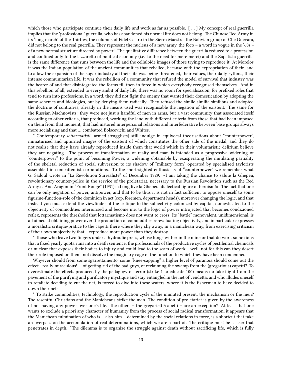which those who participate continue their daily life and work as far as possible. [ … ] My concept of real guerrilla implies that the 'professional' guerrilla, who has abandoned his normal life does not belong. The Chinese Red Army in its 'long march' of the Thirties, the columns of Fidel Castro in the Sierra Maestra, the Bolivian group of Che Guevara, did not belong to the real guerrilla. They represent the nucleus of a new army, the foco – a word in vogue in the '60s – of a new normal structure directed by power". The qualitative difference between the guerrilla reduced to a profession and confined only to the lazzaretto of political economy (i.e. to the need for mere merci) and the Zapatista guerrilla is the same difference that runs between the life and the celluloide images of those trying to reproduce it. At Morelos it was the Indian population of the ancient communities that rebelled, because with the expropriation of their land to allow the expansion of the sugar industry all their life was being threatened, their values, their daily rythms, their intense communitarian life. It was the rebellion of a community that refused the model of survival that industry was the bearer of and that disintegrated the forms till then in force in which everybody recognised themselves. And in this rebellion of all, extended to every ambit of daily life, there was no room for specialisazion, for prefixed roles that tend to turn into professions, in a word, they did not fight the enemy that wanted their domestication by adopting the same schemes and ideologies, but by denying them radically. They refused the simile similia similibus and adopted the doctrine of contraries; already in the means used was recognisable the negation of the existent. The same for the Russian Machnovists: they were not just a handful of men in arms, but a vast community that associated itself according to other criteria, that produced, working the land with different criteria from those that had been imposed on them from that moment, that had instored interpersonal relations and interfederative between base groups always more socialising and that … combatted Bolscevichi and Whites.

\* Contemporary *lottarmatisti* [armed-strugglists] still indulge in equivocal theorisations about "counterpower", miniaturised and upturned images of the existent of which constitutes the other side of the medal, and they do not realise that they have already reproduced inside them that world which in their voluntaristic delirium believe they are negating. The process of transformation of realty and man is intended as a progressive widening of "counterpower" to the point of becoming Power, a widening obtainable by exasperating the mutilating partiality of the skeletal reduction of social subversion to its shadow of "military form" operated by specialised taylorists assembled in combattentist corporations. To the short-sighted enthusiasts of "counterpower" we remember what G. Sadoul wrote in "La Revolution Surrealiste" of December 1929: «I am taking the chance to salute la Ghepeu, revolutionary counter-police in the service of the proletariat, necessary to the Russian Revolution such as the Red Army». And Aragon in "Front Rouge" (1931): «Long live la Ghepeu, dialectical figure of heroism!». The fact that one can be only negation of power, antipower, and that to be thus it is not in fact sufficient to oppose oneself to some figurine-function-role of the dominion in act (cop, foremen, department heads), moreover changing the logic, and that instead you must extend the viewfinder of the critique to the subjectivity colonized by capital, domesticated to the objectivity of commodities interiorised and become me, to the logic of power introjected that becomes condizioned reflex, represents the threshold that lottarmatismo does not want to cross. Its "battle" monovalent, unidimensional, is all aimed at obtaining power over the production of commodities re-evaluating objectivity, and in particular expresses a moralistic critique-pratice to the capetti there where they shy away, in a manichean way, from exercising criticism of their own subjectivity that… reproduce more power than they destroy.

\* Those who leave two fingers under a hydraulic press, whose lungs wither in the mine or that do work so noxious that a fixed yearly quota runs into a death sentence; the professionals of the productive cycles of pestilential chemicals or nuclear that exposes their bodies to injury and could lead to the scars of work… well, not for this can they desert their role imposed on them, not dissolve the imaginary cage of the function to which they have been condemned.

Whyever should from some sgarrettamento, some "knee-capping" a higher level of paranoia should come out the effect– really miraculous! – of getting rid of the bad guys, of reclaiming the swamp from the (gregarious) capetti? To overestimate the effects produced by the pedagogy of terror (strike 1 to educate 100) means no take flight from the pavement of the purifying and purificatory mystique and stay entangled in the net of vendetta; and who illudes oneself to retaliate deciding to cut the net, is forced to dive into these waters, where it is the fisherman to have decided to down their nets.

\* To strike commodities, technology, the reproduction cycle of the immuted present, the mechanism or the men? The resentful Christians and the Manicheans strike the men. The condition of proletariat is given by the awareness of not having any power over one's life. The others – the gregarietti/capetti – are an exception? At least that one wants to exclude a priori any character of humanity from the process of social radical transformation, it appears that the Manichean fulmination of who is – also him – determined by the social relations in force, is a shortcut that take an overpass on the accumulation of real determinations, which we are a part of. The critique must be a laser that penetrates in depth. "The dilemma is to organize the struggle against death without sacrificing life, which is fully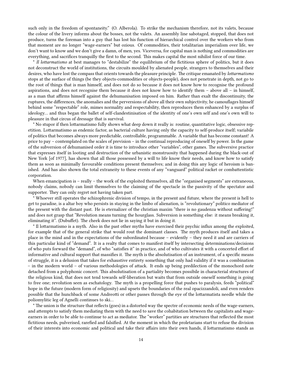such only in the freedom of spontaneity." (O. Alberola). To strike the mechanism therefore, not its valets, because the colour of the livery informs about the bosses, not the valets. An assembly line sabotaged, stopped, that does not produce, turns the foreman into a guy that has lost his function of hierarchical control over the workers who from that moment are no longer "wage-earners" but ozious. Of commodities, their totalitarian imperialism over life, we don't want to know and we don't give a damn, of men, yes. Viceversa, for capital man is nothing and commodities are everything, and sacrifices tranquilly the first to the second. This makes capital the most nihilist force of our time.

\* *Il lottarmatismo* at best manages to "destabilize" the equilibrium of the fictitious sphere of politics, but it does not deconstruct the world of institutions, the circuits moulded by alienated people, strangers to themselves and their desires, who have lost the compass that orients towards the pleasure principle. The critique emanated by *lottarmatismo* stops at the surface of things (be they objects-commodities or objects-people), does not penetrate in depth, not go to the root of things that is man himself, and does not do so because it does not know how to recognise the profound aspirations, and does not recognise them because it does not know how to identify them – above all – in himself, as a man that affirms himself against the dehumanisation imposed on him. Rather than exalt the discontinuity, the ruptures, the differences, the anomalies and the perversions of above all their own subjectivity, he camouflages himself behind some "respectable" role, mimes normality and respectability, then reproduces them enhanced by a surplus of ideology… and thus began the ballet of self-clandestinisation of the identity of one's own self and one's own will to pleasure in that circus of dressage that is survival.

\* No stupor if then lottarmatismo fully shows what deep down it really is: routine, quantitative logic, obsessive repetition. Lottarmatismo as endemic factor, as bacterial culture having only the capacity to self-produce itself; variabile of politics that becomes always more predictable, controllable, programmable. A variable that has become constant! A price to pay – contemplated on the scales of prevision – in the continual reproducing of oneself by power. In the game of the subversion of dehumanised order it is time to introduce other "variables", other games. The subversive practice that expresses itself in looting and destruction of the urbanistic monstruosity that happened during the black-out of New York [of 1977], has shown that all those possessed by a will to life know their needs, and know how to satisfy them as soon as minimally favourable conditions present themselves; and in doing this any logic of heroism is banished. And has also shown the total extraneity to these events of any "vanguard" political racket or combattentistic corporation.

When emancipation is – really – the work of the exploited themselves, all the "organised segments" are extraneous, nobody claims, nobody can limit themselves to the claiming of the spectacle in the passivity of the spectator and supporter. They can only regret not having taken part.

\* Whoever still operates the schizophrenic division of tempo, in the present and future, where the present is hell to get to paradise, is a altar boy who persists in staying in the limbo of alienation, is "revolutionary" politico mediator of the present with the distant past. He is eternalizer of the christian maxim "there is no gaudenza without suffering!" and does not grasp that "Revolution means turning the hourglass. Subversion is something else: it means breaking it, eliminating it". (Dubuffet). The cheek does not lie in saying it but in doing it.

\* Il lottarmatismo is a myth. Also in the past other myths have exercised their psychic influx among the exploited, for example that of the general strike that would rout the dominant classes. The myth produces itself and takes a place in the mind and in the expectations of the subordinated because – evidently – they need it and are carriers of this particular kind of "demand". It is a realty that comes to manifest itself by intersecting determinations/decisions of who puts forward the "demand", of who "satisfies it" in practice, and of who cultivates it with a concerted effort of informative and cultural support that massifies it. The myth is the absolutisation of an instrument, of a specific means of struggle, it is a delusion that takes for exhaustive entirety something that only had validity if it was a combination – in the modern world – of various methodologies of attack. It ends up being predilection of the monochord note detached from a polyphonic concert. This absolutisation of a partiality becomes possibile in characterial structures of the religious kind, that does not tend towards self-liberation but waits that from outside oneself something is going to free one; revolution seen as eschatology. The myth is a propelling force that pushes to paralysis, feeds "political" hope in the future (modern form of religiosity) and upsets the boundaries of the real opacizzandoli, and even renders possible that the hunchback of some Andreotti or other passes through the eye of the lottarmatista needle while the poliomylitic leg of Agnelli continues to ski…

\* The union is the structure that reflects (goes) in a distorted way the spectre of economic needs of the wage-earners, and attempts to satisfy them mediating them with the need to save the cohabitation between the capitalists and wageearners in order to be able to continue to act as mediator. The "worker" partities are structures that reflected the most fictitious needs, pulverised, rarefied and falsified. At the moment in which the proletarians start to refuse the division of their interests into economic and political and take their affairs into their own hands, il lottarmatismo stands as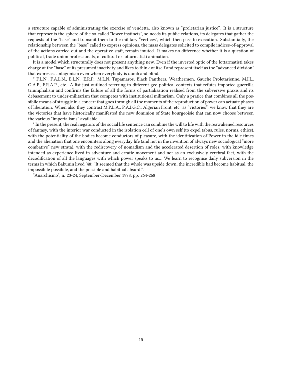a structure capable of administrating the exercise of vendetta, also known as "proletarian justice". It is a structure that represents the sphere of the so-called "lower instincts", so needs its public-relations, its delegates that gather the requests of the "base" and transmit them to the military "vertices", which then pass to execution. Substantially, the relationship between the "base" called to express opinions, the mass delegates solicited to compile indices-of-approval of the actions carried out and the operative staff, remain imuted. It makes no difference whether it is a question of political, trade union professionals, of cultural or lottarmatisti animation.

It is a model which structurally does not present anything new. Even if the inverted optic of the lottarmatisti takes charge at the "base" of its presumed inactivity and likes to think of itself and represent itself as the "advanced division" that expresses antagonism even when everybody is dumb and blind.

\* F.L.N., F.A.L.N., E.L.N., E.R.P., M.L.N. Tupamaros, Black Panthers, Weathermen, Gauche Proletarienne, M.I.L., G.A.P., F.R.A.P., etc. A list just outlined referring to different geo-political contexts that refutes imported guerrilla triumphalism and confirms the failure of all the forms of partialisation realised from the subversive praxis and its debasement to under-militarism that competes with institutional militarism. Only a pratice that combines all the possibile means of struggle in a concert that goes through all the moments of the reproduction of power can actuate phases of liberation. When also they contrast M.P.L.A., P.A.I.G.C., Algerian Front, etc. as "victories", we know that they are the victories that have historically manifested the new dominion of State bourgeoisie that can now choose between the various "imperialisms" available.

\* In the present, the real negators of the social life sentence can combine the will to life with the reawakened resources of fantasy, with the interior war conducted in the isolation cell of one's own self (to expel tabus, rules, norms, ethics), with the potentiality of the bodies become conductors of pleasure, with the identification of Power in the idle times and the alienation that one encounters along everyday life (and not in the invention of always new sociological "more combative" new strata), with the rediscovery of nomadism and the accelerated desertion of roles, with knowledge intended as experience lived in adventure and erratic movement and not as an exclusively cerebral fact, with the decodification of all the languages with which power speaks to us… We learn to recognise daily subversion in the terms in which Bakunin lived '48: "It seemed that the whole was upside down; the incredible had become habitual, the impossibile possibile, and the possible and habitual absurd!".

"Anarchismo", n. 23-24, September-December 1978, pp. 264-268